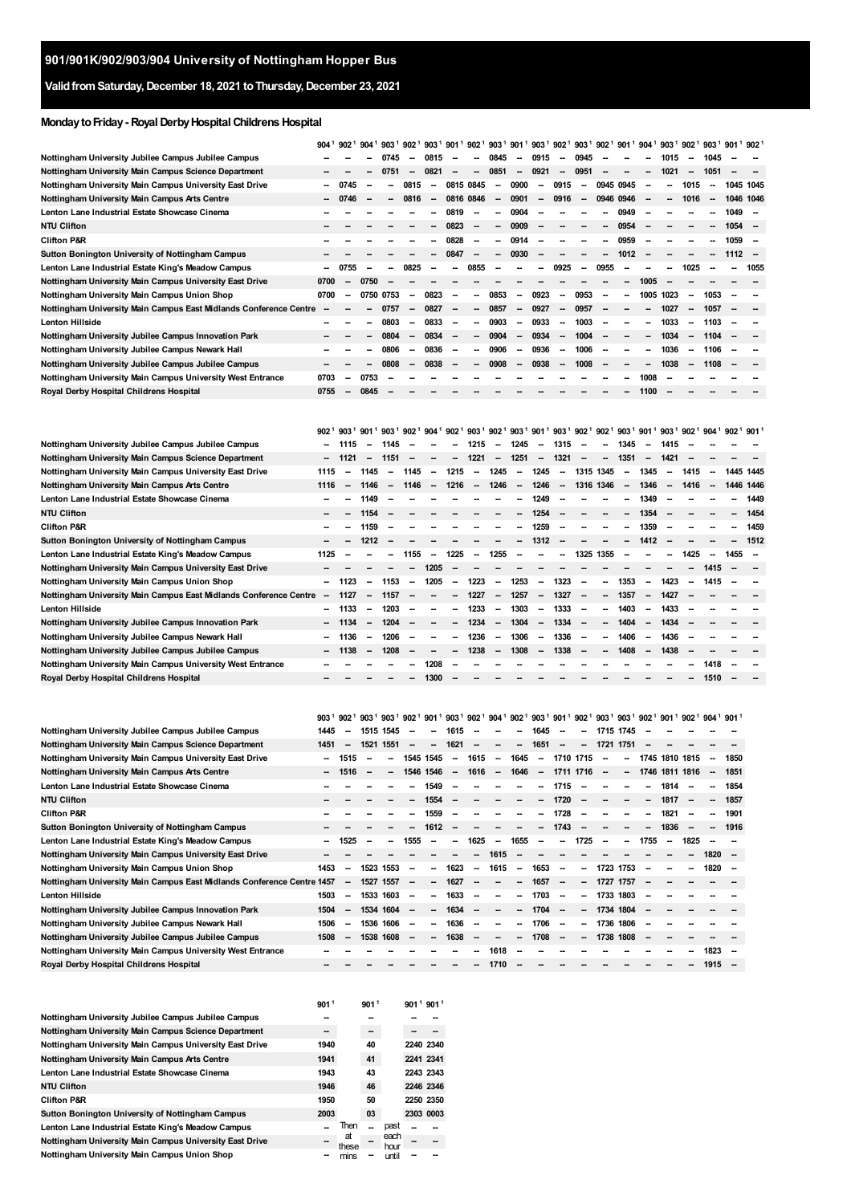## **ValidfromSaturday,December 18, 2021 toThursday,December 23, 2021**

## **MondaytoFriday- RoyalDerbyHospitalChildrens Hospital**

|                                                                   | $904^{\frac{1}{2}}$      | 902 <sup>1</sup>         | 904 <sup>1</sup>         | 903 <sup>1</sup>         | 902 <sup>1</sup>         | 903 <sup>1</sup> 901 <sup>1</sup> 902 <sup>1</sup> |                          |                          | 903 <sup>1</sup>         | 901 <sup>1</sup> 903 <sup>1</sup> 902 <sup>1</sup> 903 <sup>1</sup>        |                          |                          |                          | 902 <sup>1</sup>         |                          | 901 <sup>1</sup> 904 <sup>1</sup> 903 <sup>1</sup> |                          | 902 <sup>1</sup>         | $9031$ 901 <sup>1</sup>  |           | 902           |
|-------------------------------------------------------------------|--------------------------|--------------------------|--------------------------|--------------------------|--------------------------|----------------------------------------------------|--------------------------|--------------------------|--------------------------|----------------------------------------------------------------------------|--------------------------|--------------------------|--------------------------|--------------------------|--------------------------|----------------------------------------------------|--------------------------|--------------------------|--------------------------|-----------|---------------|
| Nottingham University Jubilee Campus Jubilee Campus               |                          |                          |                          | 0745                     |                          | 0815                                               |                          |                          | 0845                     |                                                                            | 0915                     |                          | 0945                     |                          |                          |                                                    | 1015                     |                          | 1045                     |           |               |
| Nottingham University Main Campus Science Department              |                          |                          |                          | 0751                     | $\overline{\phantom{a}}$ | 0821                                               |                          | $\overline{\phantom{a}}$ | 0851                     | $\overline{\phantom{a}}$                                                   | 0921                     | $\overline{\phantom{a}}$ | 0951                     |                          |                          | -                                                  | 1021                     | -                        | 1051                     |           |               |
| Nottingham University Main Campus University East Drive           | --                       | 0745                     |                          |                          | 0815                     | --                                                 | 0815 0845                |                          |                          | 0900                                                                       | -                        | 0915                     | $\overline{\phantom{a}}$ | 0945 0945                |                          |                                                    |                          | 1015                     | -                        | 1045 1045 |               |
| Nottingham University Main Campus Arts Centre                     | --                       | 0746                     |                          |                          | 0816                     | --                                                 | 0816 0846                |                          | $\overline{\phantom{a}}$ | 0901                                                                       | $\overline{\phantom{m}}$ | 0916                     | $\overline{\phantom{a}}$ |                          | 0946 0946                | -                                                  | -                        | 1016                     | $\overline{\phantom{a}}$ | 1046 1046 |               |
| Lenton Lane Industrial Estate Showcase Cinema                     |                          |                          |                          |                          |                          |                                                    | 0819                     | $\overline{\phantom{a}}$ |                          | 0904                                                                       |                          |                          |                          |                          | 0949                     |                                                    |                          |                          |                          | 1049      | ٠.            |
| NTU Clifton                                                       |                          |                          |                          |                          |                          |                                                    | 0823                     | $\sim$                   | $\overline{\phantom{a}}$ | 0909                                                                       | -                        |                          |                          |                          | 0954                     |                                                    |                          |                          |                          | 1054      |               |
| Clifton P&R                                                       |                          |                          |                          |                          |                          | --                                                 | 0828                     | $\overline{\phantom{a}}$ | $\sim$                   | 0914                                                                       | -                        | -                        |                          | $\overline{\phantom{a}}$ | 0959                     | $\overline{\phantom{a}}$                           |                          |                          |                          | 1059      | . —           |
| Sutton Bonington University of Nottingham Campus                  |                          |                          |                          |                          |                          | --                                                 | 0847                     | $\overline{\phantom{a}}$ | $\overline{\phantom{a}}$ | 0930                                                                       | -                        | --                       |                          | $\overline{\phantom{a}}$ | 1012                     |                                                    |                          |                          |                          | 1112      | . —           |
| Lenton Lane Industrial Estate King's Meadow Campus                |                          | 0755                     | $\overline{\phantom{a}}$ |                          | 0825                     | -                                                  | --                       | 0855                     |                          |                                                                            | -                        | 0925                     | $\overline{\phantom{a}}$ | 0955                     |                          |                                                    |                          | 1025                     |                          |           | 1055          |
| Nottingham University Main Campus University East Drive           | 0700                     |                          | 0750                     |                          |                          |                                                    |                          |                          |                          |                                                                            |                          |                          |                          |                          |                          | 1005                                               | -                        |                          |                          |           |               |
| Nottingham University Main Campus Union Shop                      | 0700                     |                          |                          | 0750 0753                | $\sim$                   | 0823                                               | --                       | --                       | 0853                     | $\overline{\phantom{a}}$                                                   | 0923                     | $\overline{\phantom{a}}$ | 0953                     |                          | $\overline{\phantom{a}}$ | 1005                                               | 1023                     | $\overline{\phantom{a}}$ | 1053                     |           |               |
| Nottingham University Main Campus East Midlands Conference Centre | <b>-</b>                 |                          |                          | 0757                     | --                       | 0827                                               |                          | $\overline{\phantom{a}}$ | 0857                     | $\overline{\phantom{a}}$                                                   | 0927                     | $\overline{\phantom{a}}$ | 0957                     |                          |                          | -                                                  | 1027                     | $\overline{\phantom{a}}$ | 1057                     |           |               |
| Lenton Hillside                                                   |                          |                          |                          | 0803                     | --                       | 0833                                               |                          | --                       | 0903                     | --                                                                         | 0933                     | $\overline{\phantom{a}}$ | 1003                     |                          |                          |                                                    | 1033                     | $\overline{\phantom{a}}$ | 1103                     |           |               |
| Nottingham University Jubilee Campus Innovation Park              |                          |                          |                          | 0804                     | $\overline{\phantom{a}}$ | 0834                                               | -                        |                          | 0904                     | -                                                                          | 0934                     | $\overline{\phantom{a}}$ | 1004                     |                          |                          |                                                    | 1034                     | $\overline{\phantom{a}}$ | 1104                     |           |               |
| Nottingham University Jubilee Campus Newark Hall                  |                          |                          | --                       | 0806                     | -                        | 0836                                               | -                        | --                       | 0906                     | -                                                                          | 0936                     | $\overline{\phantom{a}}$ | 1006                     |                          |                          |                                                    | 1036                     | -                        | 1106                     |           |               |
| Nottingham University Jubilee Campus Jubilee Campus               |                          |                          |                          | 0808                     | $\overline{\phantom{a}}$ | 0838                                               |                          |                          | 0908                     | -                                                                          | 0938                     | $\overline{\phantom{a}}$ | 1008                     |                          |                          |                                                    | 1038                     | -                        | 1108                     |           |               |
| Nottingham University Main Campus University West Entrance        | 0703                     | $\overline{\phantom{a}}$ | 0753                     |                          |                          |                                                    |                          |                          |                          |                                                                            |                          |                          |                          |                          |                          | 1008                                               |                          |                          |                          |           |               |
| Royal Derby Hospital Childrens Hospital                           | 0755                     |                          | 0845                     |                          |                          |                                                    |                          |                          |                          |                                                                            |                          |                          |                          |                          |                          | 1100                                               |                          |                          |                          |           |               |
|                                                                   |                          |                          |                          |                          |                          |                                                    |                          |                          |                          |                                                                            |                          |                          |                          |                          |                          |                                                    |                          |                          |                          |           |               |
|                                                                   |                          |                          |                          |                          |                          |                                                    |                          |                          |                          |                                                                            |                          |                          |                          |                          |                          |                                                    |                          |                          |                          |           |               |
|                                                                   |                          |                          |                          |                          |                          |                                                    |                          |                          |                          |                                                                            |                          |                          |                          |                          |                          |                                                    |                          |                          |                          |           |               |
|                                                                   | 902 <sup>1</sup>         | 903 <sup>1</sup>         | 901 <sup>1</sup>         | 903 <sup>1</sup>         | 902 <sup>1</sup>         | $904^{1}$ 902 <sup>1</sup> 903 <sup>1</sup>        |                          |                          |                          | $9021$ 903 <sup>1</sup> 901 <sup>1</sup> 903 <sup>1</sup> 902 <sup>1</sup> |                          |                          |                          | 902 <sup>1</sup>         | 903 <sup>1</sup>         | 901                                                | 903 <sup>1</sup>         | 902 <sup>1</sup>         | $904^1$                  | 902       | $901^{\circ}$ |
| Nottingham University Jubilee Campus Jubilee Campus               |                          | 1115                     | $\overline{\phantom{a}}$ | 1145                     |                          |                                                    | --                       | 1215                     | $\sim$                   | 1245                                                                       | $\overline{\phantom{a}}$ | 1315                     | $\overline{\phantom{a}}$ |                          | 1345                     |                                                    | 1415                     |                          |                          |           |               |
| Nottingham University Main Campus Science Department              | --                       | 1121                     | $\overline{\phantom{a}}$ | 1151                     | --                       | --                                                 | $\sim$                   | 1221                     | $\overline{\phantom{a}}$ | 1251                                                                       | $\overline{\phantom{a}}$ | 1321                     | $\overline{\phantom{a}}$ | $\overline{\phantom{a}}$ | 1351                     | $\overline{\phantom{a}}$                           | 1421                     | $\overline{\phantom{a}}$ |                          |           |               |
| Nottingham University Main Campus University East Drive           | 1115                     | $\sim$                   | 1145                     | $\sim$                   | 1145                     | $\sim$                                             | 1215                     | $\overline{\phantom{a}}$ | 1245                     | $\sim$                                                                     | 1245                     | $\overline{\phantom{a}}$ | 1315 1345                |                          | $\overline{\phantom{a}}$ | 1345                                               | $\overline{\phantom{a}}$ | 1415                     | $\sim$                   | 1445 1445 |               |
| Nottingham University Main Campus Arts Centre                     | 1116                     | $\overline{\phantom{a}}$ | 1146                     | $\overline{\phantom{a}}$ | 1146                     | $\sim$                                             | 1216                     | $\sim$                   | 1246                     | $\sim$                                                                     | 1246                     | $\sim$                   | 1316 1346                |                          | $\overline{\phantom{a}}$ | 1346                                               | $\overline{\phantom{a}}$ | 1416                     | $\overline{\phantom{a}}$ | 1446 1446 |               |
| Lenton Lane Industrial Estate Showcase Cinema                     |                          |                          | 1149                     |                          |                          |                                                    |                          |                          |                          |                                                                            | 1249                     |                          |                          |                          |                          | 1349                                               |                          |                          |                          |           | 1449          |
| <b>NTU Clifton</b>                                                |                          |                          | 1154                     |                          |                          |                                                    |                          |                          |                          |                                                                            | 1254                     |                          |                          |                          |                          | 1354                                               |                          |                          |                          |           | 1454          |
| <b>Clifton P&amp;R</b>                                            |                          |                          | 1159                     |                          |                          |                                                    |                          |                          |                          |                                                                            | 1259                     |                          |                          |                          |                          | 1359                                               |                          |                          |                          |           | 1459          |
| Sutton Bonington University of Nottingham Campus                  |                          |                          | 1212                     |                          |                          |                                                    |                          |                          |                          | --                                                                         | 1312                     |                          |                          |                          |                          | 1412                                               |                          |                          |                          |           | 1512          |
| Lenton Lane Industrial Estate King's Meadow Campus                | 1125                     | -                        |                          |                          | 1155                     | $\sim$                                             | 1225                     | $\sim$                   | 1255                     | $\overline{\phantom{a}}$                                                   | $\overline{\phantom{a}}$ | $\overline{\phantom{a}}$ | 1325 1355                |                          | --                       |                                                    | --                       | 1425                     |                          | 1455      | --            |
| Nottingham University Main Campus University East Drive           |                          |                          |                          |                          | --                       | 1205                                               |                          |                          |                          |                                                                            | -                        |                          |                          |                          |                          |                                                    |                          |                          | 1415                     |           |               |
| Nottingham University Main Campus Union Shop                      | --                       | 1123                     | $\overline{\phantom{a}}$ | 1153                     | $\overline{\phantom{a}}$ | 1205                                               | --                       | 1223                     | $\sim$                   | 1253                                                                       | $\overline{\phantom{a}}$ | 1323                     | $\overline{\phantom{a}}$ |                          | 1353                     | $\overline{\phantom{a}}$                           | 1423                     | $\overline{\phantom{a}}$ | 1415                     |           |               |
| Nottingham University Main Campus East Midlands Conference Centre | $\overline{\phantom{a}}$ | 1127                     | $\overline{\phantom{a}}$ | 1157                     |                          |                                                    | $\overline{\phantom{a}}$ | 1227                     | $\overline{\phantom{a}}$ | 1257                                                                       | $\overline{\phantom{a}}$ | 1327                     | $\overline{\phantom{a}}$ | -                        | 1357                     | $\overline{\phantom{m}}$                           | 1427                     |                          |                          |           |               |
| Lenton Hillside                                                   | --                       | 1133                     | $\overline{\phantom{a}}$ | 1203                     | -                        | --                                                 |                          | 1233                     | $\overline{\phantom{a}}$ | 1303                                                                       | $\overline{\phantom{a}}$ | 1333                     | $\overline{\phantom{a}}$ | -                        | 1403                     | $\overline{a}$                                     | 1433                     | $\overline{\phantom{a}}$ |                          |           |               |
| Nottingham University Jubilee Campus Innovation Park              | --                       | 1134                     | $\overline{\phantom{a}}$ | 1204                     |                          | --                                                 |                          | 1234                     | $\overline{\phantom{a}}$ | 1304                                                                       | $\overline{\phantom{m}}$ | 1334                     | $\overline{\phantom{a}}$ | $\overline{\phantom{a}}$ | 1404                     |                                                    | 1434                     |                          |                          |           |               |
| Nottingham University Jubilee Campus Newark Hall                  | -                        | 1136                     | $\overline{\phantom{a}}$ | 1206                     |                          | --                                                 |                          | 1236                     | $\overline{\phantom{a}}$ | 1306                                                                       | $\overline{\phantom{a}}$ | 1336                     | $\overline{\phantom{a}}$ |                          | 1406                     |                                                    | 1436                     |                          |                          |           |               |
| Nottingham University Jubilee Campus Jubilee Campus               |                          | 1138                     | $\overline{\phantom{a}}$ | 1208                     |                          |                                                    |                          | 1238                     | $\overline{\phantom{a}}$ | 1308                                                                       | $\overline{\phantom{a}}$ | 1338                     |                          |                          | 1408                     | $\overline{\phantom{a}}$                           | 1438                     |                          |                          |           |               |
| Nottingham University Main Campus University West Entrance        |                          |                          |                          |                          |                          | 1208                                               |                          |                          |                          |                                                                            |                          |                          |                          |                          |                          |                                                    |                          |                          | 1418                     |           |               |

|                                                                        |        |                          |      |           | $903^1$ $902^1$ $903^1$ $903^1$ $902^1$ $901^1$ $903^1$ |                          |        | $902^{1}$ 904 <sup>1</sup> |                          |                          |                          |                          |                          |                          | 902 <sup>1</sup> 903 <sup>1</sup> 901 <sup>1</sup> 902 <sup>1</sup> 903 <sup>1</sup> 903 <sup>1</sup> 902 <sup>1</sup> 901 <sup>1</sup> 902 <sup>1</sup> |      |                          |                | $9041$ 901 <sup>1</sup> |        |
|------------------------------------------------------------------------|--------|--------------------------|------|-----------|---------------------------------------------------------|--------------------------|--------|----------------------------|--------------------------|--------------------------|--------------------------|--------------------------|--------------------------|--------------------------|----------------------------------------------------------------------------------------------------------------------------------------------------------|------|--------------------------|----------------|-------------------------|--------|
| Nottingham University Jubilee Campus Jubilee Campus                    | 1445   | --                       |      | 1515 1545 | --                                                      | --                       | 1615   |                            | --                       | --                       | 1645                     | $\overline{\phantom{a}}$ | -                        |                          | 1715 1745                                                                                                                                                |      |                          |                |                         |        |
| Nottingham University Main Campus Science Department                   | 1451   | -                        | 1521 | 1551      | --                                                      | $\sim$                   | 1621   | --                         | $\sim$                   | $\overline{\phantom{a}}$ | 1651                     | $\overline{\phantom{a}}$ | -                        | 1721                     | 1751                                                                                                                                                     |      |                          |                |                         |        |
| Nottingham University Main Campus University East Drive                | $\sim$ | 1515                     |      | --        | 1545 1545                                               |                          |        | 1615                       | $\sim$                   | 1645                     | $\overline{\phantom{a}}$ | 1710 1715                |                          | $\overline{\phantom{a}}$ | $\overline{\phantom{a}}$                                                                                                                                 |      |                          | 1745 1810 1815 | -                       | 1850   |
| Nottingham University Main Campus Arts Centre                          | $\sim$ | 1516                     |      | --        | 1546                                                    | 1546                     | $\sim$ | 1616                       | $\overline{\phantom{a}}$ | 1646                     | $\overline{\phantom{a}}$ | 1711 1716                |                          | $\overline{\phantom{a}}$ | -                                                                                                                                                        |      |                          | 1746 1811 1816 | -                       | 1851   |
| Lenton Lane Industrial Estate Showcase Cinema                          |        |                          |      |           |                                                         | 1549                     |        |                            |                          |                          | -                        | 1715                     | $\overline{\phantom{a}}$ |                          | -                                                                                                                                                        |      | 1814                     |                | -                       | 1854   |
| <b>NTU Clifton</b>                                                     |        |                          |      |           |                                                         | 1554                     |        |                            |                          | $\sim$                   | -                        | 1720                     | $\overline{\phantom{a}}$ |                          |                                                                                                                                                          | -    | 1817                     |                | -                       | 1857   |
| <b>Clifton P&amp;R</b>                                                 |        |                          |      |           |                                                         | 1559                     |        |                            |                          | $\sim$                   | -                        | 1728                     | $\overline{\phantom{a}}$ |                          | -                                                                                                                                                        | -    | 1821                     |                | -                       | 1901   |
| Sutton Bonington University of Nottingham Campus                       |        |                          |      |           |                                                         | 1612                     |        |                            |                          |                          | -                        | 1743                     | $\overline{\phantom{a}}$ |                          |                                                                                                                                                          |      | 1836                     |                | -                       | 1916   |
| Lenton Lane Industrial Estate King's Meadow Campus                     |        | 1525                     |      | --        | 1555                                                    |                          |        | 1625                       | $\sim$                   | 1655                     | $\overline{\phantom{a}}$ | $\overline{\phantom{a}}$ | 1725                     | $\sim$                   | $\overline{\phantom{a}}$                                                                                                                                 | 1755 | $\overline{\phantom{a}}$ | 1825           |                         |        |
| Nottingham University Main Campus University East Drive                |        |                          |      |           |                                                         |                          |        |                            | 1615                     | $\overline{\phantom{a}}$ |                          |                          |                          |                          |                                                                                                                                                          |      |                          |                | $1820 -$                |        |
| Nottingham University Main Campus Union Shop                           | 1453   | $\overline{\phantom{a}}$ | 1523 | 1553      | --                                                      | --                       | 1623   | --                         | 1615                     | $\sim$                   | 1653                     | $\overline{\phantom{a}}$ | -                        | 1723 1753                |                                                                                                                                                          |      |                          |                | 1820                    | $\sim$ |
| Nottingham University Main Campus East Midlands Conference Centre 1457 |        | --                       | 1527 | 1557      | $\overline{\phantom{a}}$                                | $\overline{\phantom{a}}$ | 1627   | --                         | $\sim$                   | $\overline{\phantom{a}}$ | 1657                     | $\overline{\phantom{a}}$ | $\overline{\phantom{a}}$ |                          | 1727 1757                                                                                                                                                |      |                          |                |                         |        |
| <b>Lenton Hillside</b>                                                 | 1503   | $\overline{\phantom{a}}$ | 1533 | 1603      | --                                                      | --                       | 1633   | --                         | $\sim$                   | $\overline{\phantom{a}}$ | 1703                     | $\overline{\phantom{a}}$ | $\overline{\phantom{a}}$ |                          | 1733 1803                                                                                                                                                |      |                          |                |                         |        |
| Nottingham University Jubilee Campus Innovation Park                   | 1504   | --                       | 1534 | 1604      | $\overline{\phantom{a}}$                                | $\overline{\phantom{a}}$ | 1634   |                            | $\sim$                   | $\sim$                   | 1704                     | $\overline{\phantom{a}}$ | -                        | 1734                     | 1804                                                                                                                                                     |      |                          |                |                         |        |
| Nottingham University Jubilee Campus Newark Hall                       | 1506   | $\overline{\phantom{a}}$ | 1536 | 1606      | --                                                      | --                       | 1636   | --                         | $\sim$                   | $\overline{\phantom{a}}$ | 1706                     | $\overline{\phantom{a}}$ | $\overline{\phantom{a}}$ |                          | 1736 1806                                                                                                                                                | -    |                          |                |                         |        |
| Nottingham University Jubilee Campus Jubilee Campus                    | 1508   |                          | 1538 | 1608      | --                                                      | $\overline{\phantom{a}}$ | 1638   | --                         | $\sim$                   | $\sim$                   | 1708                     | $\overline{\phantom{a}}$ | -                        | 1738                     | 1808                                                                                                                                                     | -    |                          |                |                         |        |
| Nottingham University Main Campus University West Entrance             |        |                          |      |           |                                                         |                          |        |                            | 1618                     |                          |                          |                          |                          |                          |                                                                                                                                                          |      |                          |                | 1823                    | $\sim$ |
| Royal Derby Hospital Childrens Hospital                                |        |                          |      |           |                                                         |                          |        | $\sim$                     | 1710                     |                          |                          |                          |                          |                          |                                                                                                                                                          |      |                          |                | 1915                    | $\sim$ |

|                                                         | 901 <sup>1</sup> |             | 901 <sup>1</sup> |              | $9011$ 901 <sup>1</sup> |           |
|---------------------------------------------------------|------------------|-------------|------------------|--------------|-------------------------|-----------|
| Nottingham University Jubilee Campus Jubilee Campus     | --               |             |                  |              |                         |           |
| Nottingham University Main Campus Science Department    | --               |             | --               |              |                         |           |
| Nottingham University Main Campus University East Drive | 1940             |             | 40               |              |                         | 2240 2340 |
| Nottingham University Main Campus Arts Centre           | 1941             |             | 41               |              | 2241 2341               |           |
| Lenton Lane Industrial Estate Showcase Cinema           | 1943             |             | 43               |              |                         | 2243 2343 |
| NTU Clifton                                             | 1946             |             | 46               |              | 2246 2346               |           |
| <b>Clifton P&amp;R</b>                                  | 1950             |             | 50               |              |                         | 2250 2350 |
| Sutton Bonington University of Nottingham Campus        | 2003             |             | 03               |              |                         | 2303 0003 |
| Lenton Lane Industrial Estate King's Meadow Campus      |                  | Then        |                  | past         |                         |           |
| Nottingham University Main Campus University East Drive | --               | at<br>these |                  | each<br>hour |                         |           |
| Nottingham University Main Campus Union Shop            |                  | mins        |                  | until        |                         |           |